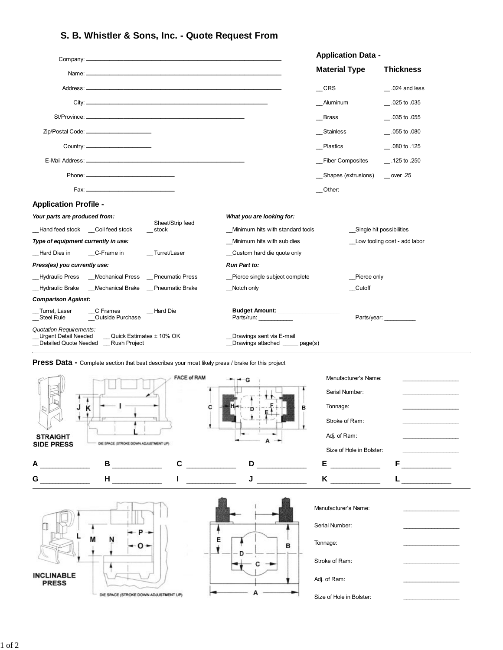## **S. B. Whistler & Sons, Inc. - Quote Request From**

|                                                                                                                                 |                                                       | <b>Application Data -</b> |                              |
|---------------------------------------------------------------------------------------------------------------------------------|-------------------------------------------------------|---------------------------|------------------------------|
|                                                                                                                                 |                                                       | <b>Material Type</b>      | <b>Thickness</b>             |
|                                                                                                                                 |                                                       | $\_$ CRS                  | $\sim$ .024 and less         |
|                                                                                                                                 |                                                       | Aluminum                  | .025 to .035                 |
|                                                                                                                                 |                                                       | Brass                     | .035 to .055                 |
| Zip/Postal Code: _________________________                                                                                      |                                                       | Stainless                 | $-0.055$ to $.080$           |
|                                                                                                                                 |                                                       | Plastics                  | .080 to .125                 |
|                                                                                                                                 |                                                       | _Fiber Composites         | $-$ .125 to .250             |
|                                                                                                                                 |                                                       | Shapes (extrusions)       | $\_\_$ over .25              |
|                                                                                                                                 |                                                       | Other:                    |                              |
| <b>Application Profile -</b>                                                                                                    |                                                       |                           |                              |
| Your parts are produced from:                                                                                                   | What you are looking for:                             |                           |                              |
| Sheet/Strip feed<br>Hand feed stock Coil feed stock<br>stock                                                                    | Minimum hits with standard tools                      |                           | Single hit possibilities     |
| Type of equipment currently in use:                                                                                             | Minimum hits with sub dies                            |                           | Low tooling cost - add labor |
| Turret/Laser<br>Hard Dies in C-Frame in                                                                                         | Custom hard die quote only                            |                           |                              |
| Press(es) you currently use:                                                                                                    | <b>Run Part to:</b>                                   |                           |                              |
| Hydraulic Press Mechanical Press Pneumatic Press                                                                                | Pierce single subject complete                        | Pierce only               |                              |
| _Hydraulic Brake __Mechanical Brake __Pneumatic Brake                                                                           | Notch only                                            | Cutoff                    |                              |
| <b>Comparison Against:</b>                                                                                                      |                                                       |                           |                              |
| Turret. Laser<br>C Frames<br>_Hard Die<br>$\equiv$ Steel Rule<br>Outside Purchase                                               | Budget Amount: ______________________<br>Parts/run:   |                           | Parts/year:                  |
| <b>Quotation Requirements:</b><br><b>Urgent Detail Needed</b><br>Quick Estimates ± 10% OK<br>Detailed Quote Needed Rush Project | Drawings sent via E-mail<br>Drawings attached page(s) |                           |                              |